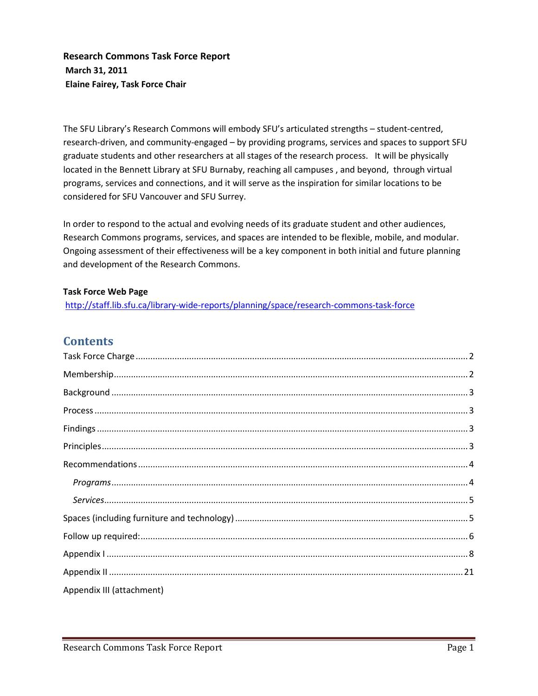**Research Commons Task Force Report March 31, 2011 Elaine Fairey, Task Force Chair**

The SFU Library's Research Commons will embody SFU's articulated strengths – student-centred, research-driven, and community-engaged – by providing programs, services and spaces to support SFU graduate students and other researchers at all stages of the research process. It will be physically located in the Bennett Library at SFU Burnaby, reaching all campuses , and beyond, through virtual programs, services and connections, and it will serve as the inspiration for similar locations to be considered for SFU Vancouver and SFU Surrey.

In order to respond to the actual and evolving needs of its graduate student and other audiences, Research Commons programs, services, and spaces are intended to be flexible, mobile, and modular. Ongoing assessment of their effectiveness will be a key component in both initial and future planning and development of the Research Commons.

### **Task Force Web Page**

<http://staff.lib.sfu.ca/library-wide-reports/planning/space/research-commons-task-force>

# **Contents**

| Appendix III (attachment) |  |
|---------------------------|--|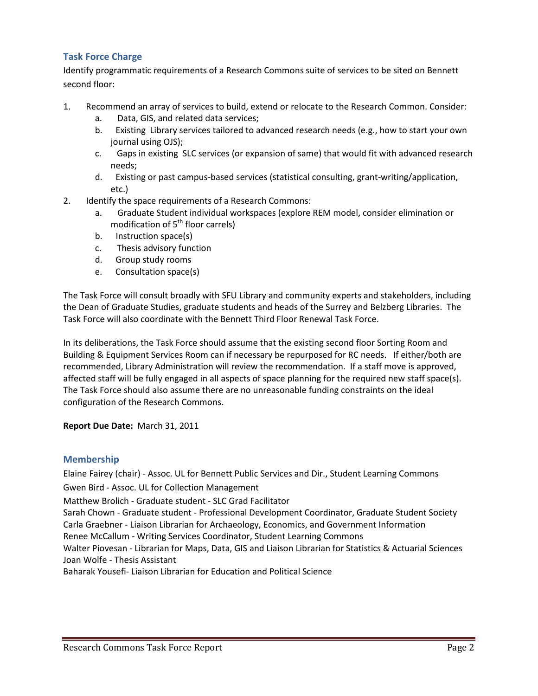## <span id="page-1-0"></span>**Task Force Charge**

Identify programmatic requirements of a Research Commons suite of services to be sited on Bennett second floor:

- 1. Recommend an array of services to build, extend or relocate to the Research Common. Consider:
	- a. Data, GIS, and related data services;
	- b. Existing Library services tailored to advanced research needs (e.g., how to start your own journal using OJS);
	- c. Gaps in existing SLC services (or expansion of same) that would fit with advanced research needs;
	- d. Existing or past campus-based services (statistical consulting, grant-writing/application, etc.)
- 2. Identify the space requirements of a Research Commons:
	- a. Graduate Student individual workspaces (explore REM model, consider elimination or modification of  $5<sup>th</sup>$  floor carrels)
	- b. Instruction space(s)
	- c. Thesis advisory function
	- d. Group study rooms
	- e. Consultation space(s)

The Task Force will consult broadly with SFU Library and community experts and stakeholders, including the Dean of Graduate Studies, graduate students and heads of the Surrey and Belzberg Libraries. The Task Force will also coordinate with the Bennett Third Floor Renewal Task Force.

In its deliberations, the Task Force should assume that the existing second floor Sorting Room and Building & Equipment Services Room can if necessary be repurposed for RC needs. If either/both are recommended, Library Administration will review the recommendation. If a staff move is approved, affected staff will be fully engaged in all aspects of space planning for the required new staff space(s). The Task Force should also assume there are no unreasonable funding constraints on the ideal configuration of the Research Commons.

**Report Due Date:** March 31, 2011

#### <span id="page-1-1"></span>**Membership**

Elaine Fairey (chair) - Assoc. UL for Bennett Public Services and Dir., Student Learning Commons Gwen Bird - Assoc. UL for Collection Management

Matthew Brolich - Graduate student - SLC Grad Facilitator

Sarah Chown - Graduate student - Professional Development Coordinator, Graduate Student Society Carla Graebner - Liaison Librarian for Archaeology, Economics, and Government Information Renee McCallum - Writing Services Coordinator, Student Learning Commons Walter Piovesan - Librarian for Maps, Data, GIS and Liaison Librarian for Statistics & Actuarial Sciences

Joan Wolfe - Thesis Assistant

Baharak Yousefi- Liaison Librarian for Education and Political Science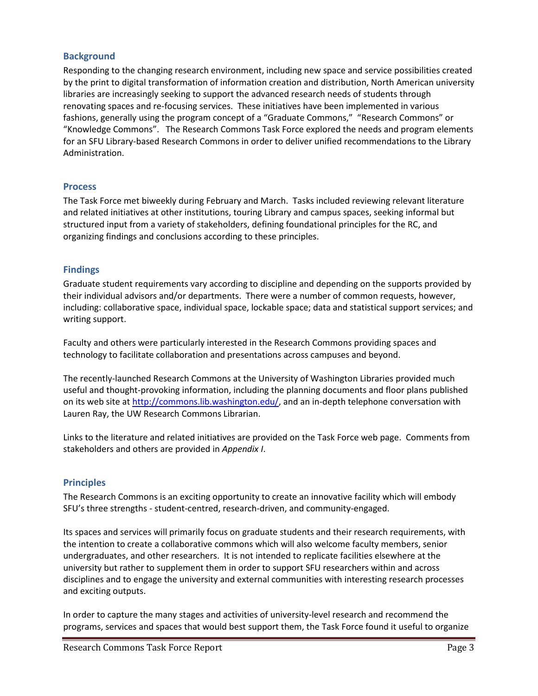#### <span id="page-2-0"></span>**Background**

Responding to the changing research environment, including new space and service possibilities created by the print to digital transformation of information creation and distribution, North American university libraries are increasingly seeking to support the advanced research needs of students through renovating spaces and re-focusing services. These initiatives have been implemented in various fashions, generally using the program concept of a "Graduate Commons," "Research Commons" or "Knowledge Commons". The Research Commons Task Force explored the needs and program elements for an SFU Library-based Research Commons in order to deliver unified recommendations to the Library Administration.

#### <span id="page-2-1"></span>**Process**

The Task Force met biweekly during February and March. Tasks included reviewing relevant literature and related initiatives at other institutions, touring Library and campus spaces, seeking informal but structured input from a variety of stakeholders, defining foundational principles for the RC, and organizing findings and conclusions according to these principles.

#### <span id="page-2-2"></span>**Findings**

Graduate student requirements vary according to discipline and depending on the supports provided by their individual advisors and/or departments. There were a number of common requests, however, including: collaborative space, individual space, lockable space; data and statistical support services; and writing support.

Faculty and others were particularly interested in the Research Commons providing spaces and technology to facilitate collaboration and presentations across campuses and beyond.

The recently-launched Research Commons at the University of Washington Libraries provided much useful and thought-provoking information, including the planning documents and floor plans published on its web site a[t http://commons.lib.washington.edu/,](http://commons.lib.washington.edu/) and an in-depth telephone conversation with Lauren Ray, the UW Research Commons Librarian.

Links to the literature and related initiatives are provided on the Task Force web page. Comments from stakeholders and others are provided in *Appendix I*.

#### <span id="page-2-3"></span>**Principles**

The Research Commons is an exciting opportunity to create an innovative facility which will embody SFU's three strengths - student-centred, research-driven, and community-engaged.

Its spaces and services will primarily focus on graduate students and their research requirements, with the intention to create a collaborative commons which will also welcome faculty members, senior undergraduates, and other researchers. It is not intended to replicate facilities elsewhere at the university but rather to supplement them in order to support SFU researchers within and across disciplines and to engage the university and external communities with interesting research processes and exciting outputs.

In order to capture the many stages and activities of university-level research and recommend the programs, services and spaces that would best support them, the Task Force found it useful to organize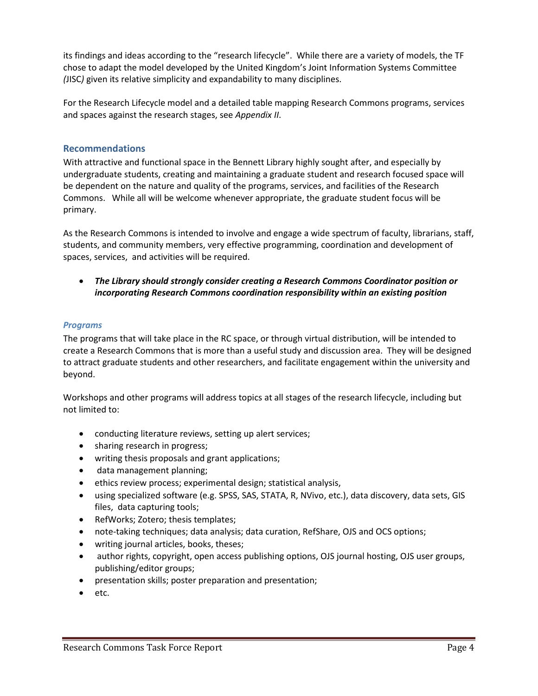its findings and ideas according to the "research lifecycle". While there are a variety of models, the TF chose to adapt the model developed by the United Kingdom's Joint Information Systems Committee *(*JISC*)* given its relative simplicity and expandability to many disciplines.

For the Research Lifecycle model and a detailed table mapping Research Commons programs, services and spaces against the research stages, see *Appendix II*.

#### <span id="page-3-0"></span>**Recommendations**

With attractive and functional space in the Bennett Library highly sought after, and especially by undergraduate students, creating and maintaining a graduate student and research focused space will be dependent on the nature and quality of the programs, services, and facilities of the Research Commons. While all will be welcome whenever appropriate, the graduate student focus will be primary.

As the Research Commons is intended to involve and engage a wide spectrum of faculty, librarians, staff, students, and community members, very effective programming, coordination and development of spaces, services, and activities will be required.

• *The Library should strongly consider creating a Research Commons Coordinator position or incorporating Research Commons coordination responsibility within an existing position*

#### <span id="page-3-1"></span>*Programs*

The programs that will take place in the RC space, or through virtual distribution, will be intended to create a Research Commons that is more than a useful study and discussion area. They will be designed to attract graduate students and other researchers, and facilitate engagement within the university and beyond.

Workshops and other programs will address topics at all stages of the research lifecycle, including but not limited to:

- conducting literature reviews, setting up alert services;
- sharing research in progress;
- writing thesis proposals and grant applications;
- data management planning;
- ethics review process; experimental design; statistical analysis,
- using specialized software (e.g. SPSS, SAS, STATA, R, NVivo, etc.), data discovery, data sets, GIS files, data capturing tools;
- RefWorks; Zotero; thesis templates;
- note-taking techniques; data analysis; data curation, RefShare, OJS and OCS options;
- writing journal articles, books, theses;
- author rights, copyright, open access publishing options, OJS journal hosting, OJS user groups, publishing/editor groups;
- presentation skills; poster preparation and presentation;
- etc.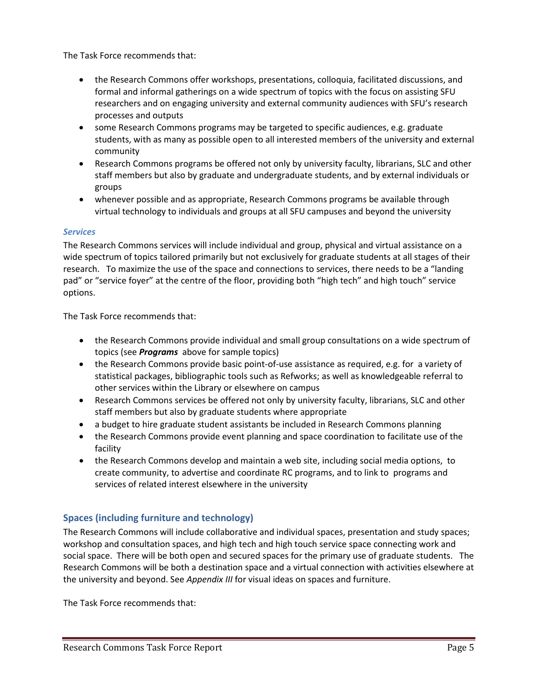The Task Force recommends that:

- the Research Commons offer workshops, presentations, colloquia, facilitated discussions, and formal and informal gatherings on a wide spectrum of topics with the focus on assisting SFU researchers and on engaging university and external community audiences with SFU's research processes and outputs
- some Research Commons programs may be targeted to specific audiences, e.g. graduate students, with as many as possible open to all interested members of the university and external community
- Research Commons programs be offered not only by university faculty, librarians, SLC and other staff members but also by graduate and undergraduate students, and by external individuals or groups
- whenever possible and as appropriate, Research Commons programs be available through virtual technology to individuals and groups at all SFU campuses and beyond the university

### <span id="page-4-0"></span>*Services*

The Research Commons services will include individual and group, physical and virtual assistance on a wide spectrum of topics tailored primarily but not exclusively for graduate students at all stages of their research. To maximize the use of the space and connections to services, there needs to be a "landing pad" or "service foyer" at the centre of the floor, providing both "high tech" and high touch" service options.

The Task Force recommends that:

- the Research Commons provide individual and small group consultations on a wide spectrum of topics (see *Programs* above for sample topics)
- the Research Commons provide basic point-of-use assistance as required, e.g. for a variety of statistical packages, bibliographic tools such as Refworks; as well as knowledgeable referral to other services within the Library or elsewhere on campus
- Research Commons services be offered not only by university faculty, librarians, SLC and other staff members but also by graduate students where appropriate
- a budget to hire graduate student assistants be included in Research Commons planning
- the Research Commons provide event planning and space coordination to facilitate use of the facility
- the Research Commons develop and maintain a web site, including social media options, to create community, to advertise and coordinate RC programs, and to link to programs and services of related interest elsewhere in the university

## <span id="page-4-1"></span>**Spaces (including furniture and technology)**

The Research Commons will include collaborative and individual spaces, presentation and study spaces; workshop and consultation spaces, and high tech and high touch service space connecting work and social space. There will be both open and secured spaces for the primary use of graduate students. The Research Commons will be both a destination space and a virtual connection with activities elsewhere at the university and beyond. See *Appendix III* for visual ideas on spaces and furniture.

The Task Force recommends that: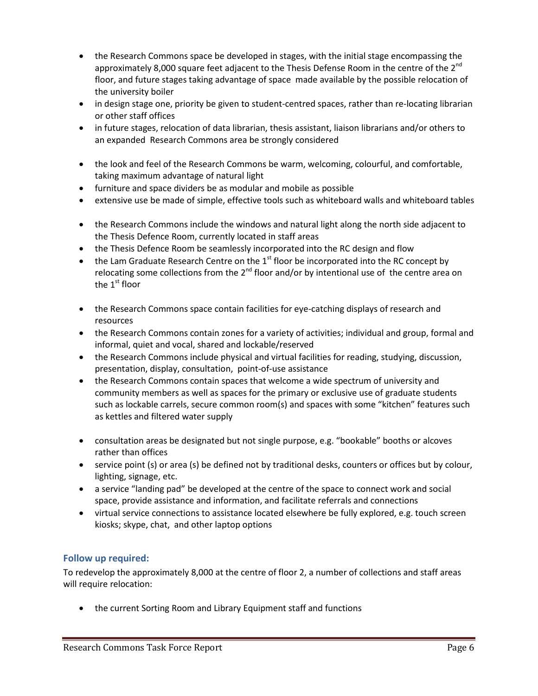- the Research Commons space be developed in stages, with the initial stage encompassing the approximately 8,000 square feet adjacent to the Thesis Defense Room in the centre of the 2<sup>nd</sup> floor, and future stages taking advantage of space made available by the possible relocation of the university boiler
- in design stage one, priority be given to student-centred spaces, rather than re-locating librarian or other staff offices
- in future stages, relocation of data librarian, thesis assistant, liaison librarians and/or others to an expanded Research Commons area be strongly considered
- the look and feel of the Research Commons be warm, welcoming, colourful, and comfortable, taking maximum advantage of natural light
- furniture and space dividers be as modular and mobile as possible
- extensive use be made of simple, effective tools such as whiteboard walls and whiteboard tables
- the Research Commons include the windows and natural light along the north side adjacent to the Thesis Defence Room, currently located in staff areas
- the Thesis Defence Room be seamlessly incorporated into the RC design and flow
- the Lam Graduate Research Centre on the  $1<sup>st</sup>$  floor be incorporated into the RC concept by relocating some collections from the  $2^{nd}$  floor and/or by intentional use of the centre area on the  $1<sup>st</sup>$  floor
- the Research Commons space contain facilities for eye-catching displays of research and resources
- the Research Commons contain zones for a variety of activities; individual and group, formal and informal, quiet and vocal, shared and lockable/reserved
- the Research Commons include physical and virtual facilities for reading, studying, discussion, presentation, display, consultation, point-of-use assistance
- the Research Commons contain spaces that welcome a wide spectrum of university and community members as well as spaces for the primary or exclusive use of graduate students such as lockable carrels, secure common room(s) and spaces with some "kitchen" features such as kettles and filtered water supply
- consultation areas be designated but not single purpose, e.g. "bookable" booths or alcoves rather than offices
- service point (s) or area (s) be defined not by traditional desks, counters or offices but by colour, lighting, signage, etc.
- a service "landing pad" be developed at the centre of the space to connect work and social space, provide assistance and information, and facilitate referrals and connections
- virtual service connections to assistance located elsewhere be fully explored, e.g. touch screen kiosks; skype, chat, and other laptop options

## <span id="page-5-0"></span>**Follow up required:**

To redevelop the approximately 8,000 at the centre of floor 2, a number of collections and staff areas will require relocation:

• the current Sorting Room and Library Equipment staff and functions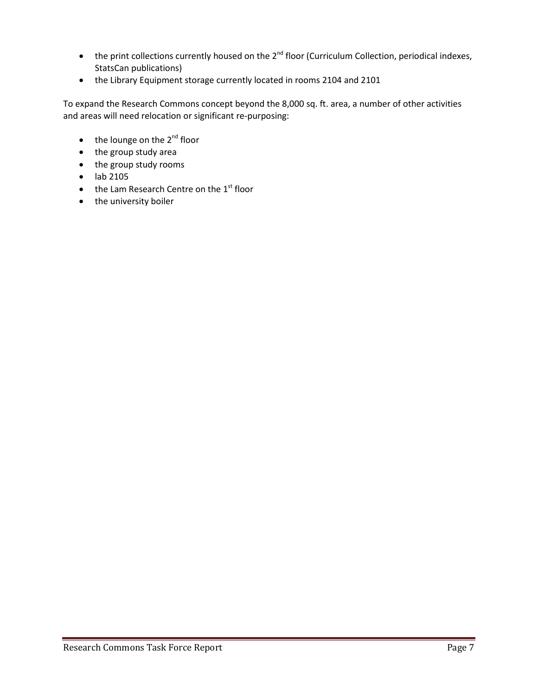- the print collections currently housed on the 2<sup>nd</sup> floor (Curriculum Collection, periodical indexes, StatsCan publications)
- the Library Equipment storage currently located in rooms 2104 and 2101

To expand the Research Commons concept beyond the 8,000 sq. ft. area, a number of other activities and areas will need relocation or significant re-purposing:

- $\bullet$  the lounge on the 2<sup>nd</sup> floor
- the group study area
- the group study rooms
- lab 2105
- $\bullet$  the Lam Research Centre on the  $1<sup>st</sup>$  floor
- the university boiler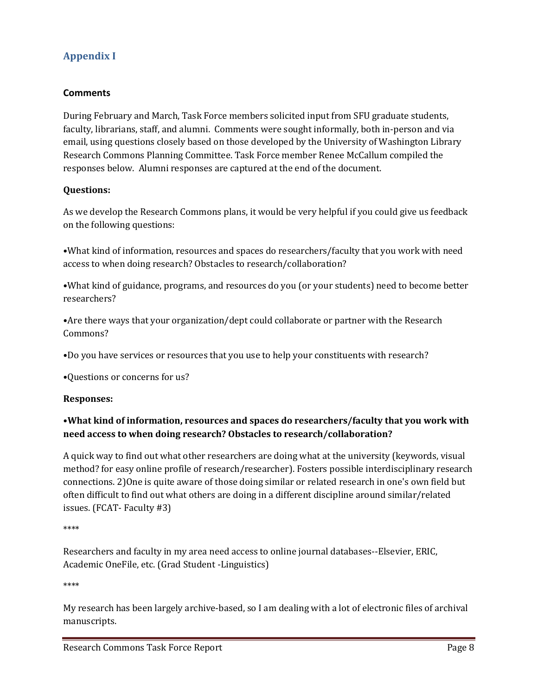# <span id="page-7-0"></span>**Appendix I**

## **Comments**

During February and March, Task Force members solicited input from SFU graduate students, faculty, librarians, staff, and alumni. Comments were sought informally, both in-person and via email, using questions closely based on those developed by the University of Washington Library Research Commons Planning Committee. Task Force member Renee McCallum compiled the responses below. Alumni responses are captured at the end of the document.

### **Questions:**

As we develop the Research Commons plans, it would be very helpful if you could give us feedback on the following questions:

•What kind of information, resources and spaces do researchers/faculty that you work with need access to when doing research? Obstacles to research/collaboration?

•What kind of guidance, programs, and resources do you (or your students) need to become better researchers?

•Are there ways that your organization/dept could collaborate or partner with the Research Commons?

•Do you have services or resources that you use to help your constituents with research?

•Questions or concerns for us?

**Responses:**

## •**What kind of information, resources and spaces do researchers/faculty that you work with need access to when doing research? Obstacles to research/collaboration?**

A quick way to find out what other researchers are doing what at the university (keywords, visual method? for easy online profile of research/researcher). Fosters possible interdisciplinary research connections. 2)One is quite aware of those doing similar or related research in one's own field but often difficult to find out what others are doing in a different discipline around similar/related issues. (FCAT- Faculty #3)

\*\*\*\*

Researchers and faculty in my area need access to online journal databases--Elsevier, ERIC, Academic OneFile, etc. (Grad Student -Linguistics)

\*\*\*\*

My research has been largely archive-based, so I am dealing with a lot of electronic files of archival manuscripts.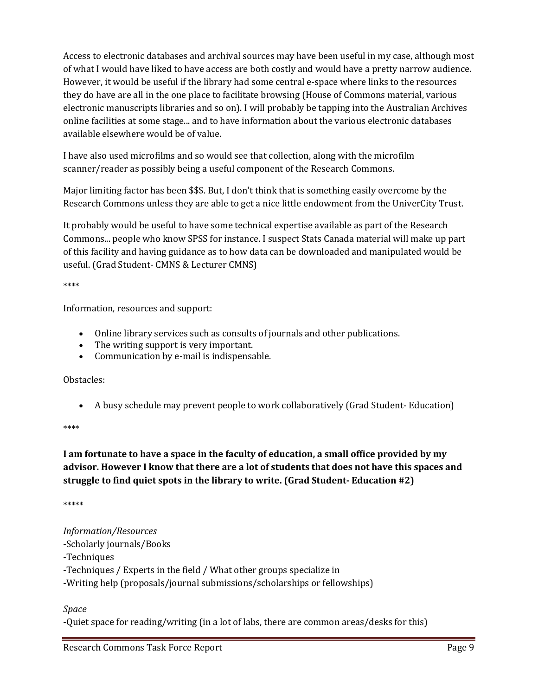Access to electronic databases and archival sources may have been useful in my case, although most of what I would have liked to have access are both costly and would have a pretty narrow audience. However, it would be useful if the library had some central e-space where links to the resources they do have are all in the one place to facilitate browsing (House of Commons material, various electronic manuscripts libraries and so on). I will probably be tapping into the Australian Archives online facilities at some stage... and to have information about the various electronic databases available elsewhere would be of value.

I have also used microfilms and so would see that collection, along with the microfilm scanner/reader as possibly being a useful component of the Research Commons.

Major limiting factor has been \$\$\$. But, I don't think that is something easily overcome by the Research Commons unless they are able to get a nice little endowment from the UniverCity Trust.

It probably would be useful to have some technical expertise available as part of the Research Commons... people who know SPSS for instance. I suspect Stats Canada material will make up part of this facility and having guidance as to how data can be downloaded and manipulated would be useful. (Grad Student- CMNS & Lecturer CMNS)

\*\*\*\*

Information, resources and support:

- Online library services such as consults of journals and other publications.
- The writing support is very important.
- Communication by e-mail is indispensable.

Obstacles:

• A busy schedule may prevent people to work collaboratively (Grad Student- Education)

\*\*\*\*

# **I am fortunate to have a space in the faculty of education, a small office provided by my advisor. However I know that there are a lot of students that does not have this spaces and struggle to find quiet spots in the library to write. (Grad Student- Education #2)**

\*\*\*\*\*

*Information/Resources*

-Scholarly journals/Books

-Techniques

-Techniques / Experts in the field / What other groups specialize in

-Writing help (proposals/journal submissions/scholarships or fellowships)

*Space*

-Quiet space for reading/writing (in a lot of labs, there are common areas/desks for this)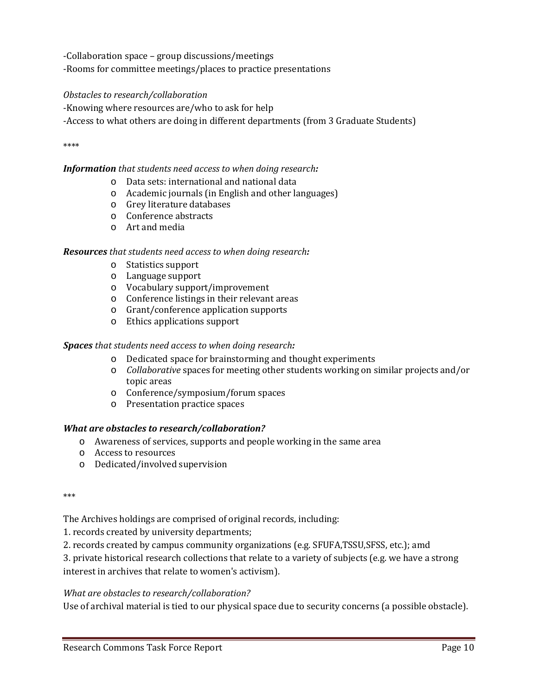-Collaboration space – group discussions/meetings

-Rooms for committee meetings/places to practice presentations

### *Obstacles to research/collaboration*

-Knowing where resources are/who to ask for help

-Access to what others are doing in different departments (from 3 Graduate Students)

\*\*\*\*

### *Information that students need access to when doing research:*

- o Data sets: international and national data
- o Academic journals (in English and other languages)
- o Grey literature databases
- o Conference abstracts
- o Art and media

#### *Resources that students need access to when doing research:*

- o Statistics support
- o Language support
- o Vocabulary support/improvement
- o Conference listings in their relevant areas
- o Grant/conference application supports
- o Ethics applications support

#### *Spaces that students need access to when doing research:*

- o Dedicated space for brainstorming and thought experiments
- o *Collaborative* spaces for meeting other students working on similar projects and/or topic areas
- o Conference/symposium/forum spaces
- o Presentation practice spaces

#### *What are obstacles to research/collaboration?*

- o Awareness of services, supports and people working in the same area
- o Access to resources
- o Dedicated/involved supervision

\*\*\*

The Archives holdings are comprised of original records, including:

1. records created by university departments;

2. records created by campus community organizations (e.g. SFUFA,TSSU,SFSS, etc.); amd

3. private historical research collections that relate to a variety of subjects (e.g. we have a strong interest in archives that relate to women's activism).

#### *What are obstacles to research/collaboration?*

Use of archival material is tied to our physical space due to security concerns (a possible obstacle).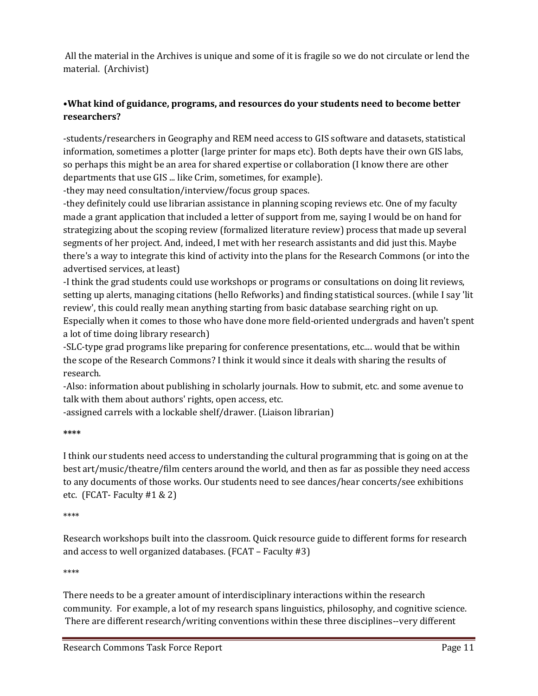All the material in the Archives is unique and some of it is fragile so we do not circulate or lend the material. (Archivist)

# •**What kind of guidance, programs, and resources do your students need to become better researchers?**

-students/researchers in Geography and REM need access to GIS software and datasets, statistical information, sometimes a plotter (large printer for maps etc). Both depts have their own GIS labs, so perhaps this might be an area for shared expertise or collaboration (I know there are other departments that use GIS ... like Crim, sometimes, for example).

-they may need consultation/interview/focus group spaces.

-they definitely could use librarian assistance in planning scoping reviews etc. One of my faculty made a grant application that included a letter of support from me, saying I would be on hand for strategizing about the scoping review (formalized literature review) process that made up several segments of her project. And, indeed, I met with her research assistants and did just this. Maybe there's a way to integrate this kind of activity into the plans for the Research Commons (or into the advertised services, at least)

-I think the grad students could use workshops or programs or consultations on doing lit reviews, setting up alerts, managing citations (hello Refworks) and finding statistical sources. (while I say 'lit review', this could really mean anything starting from basic database searching right on up. Especially when it comes to those who have done more field-oriented undergrads and haven't spent a lot of time doing library research)

-SLC-type grad programs like preparing for conference presentations, etc.... would that be within the scope of the Research Commons? I think it would since it deals with sharing the results of research.

-Also: information about publishing in scholarly journals. How to submit, etc. and some avenue to talk with them about authors' rights, open access, etc.

-assigned carrels with a lockable shelf/drawer. (Liaison librarian)

#### **\*\*\*\***

I think our students need access to understanding the cultural programming that is going on at the best art/music/theatre/film centers around the world, and then as far as possible they need access to any documents of those works. Our students need to see dances/hear concerts/see exhibitions etc. (FCAT- Faculty #1 & 2)

#### \*\*\*\*

Research workshops built into the classroom. Quick resource guide to different forms for research and access to well organized databases. (FCAT – Faculty #3)

\*\*\*\*

There needs to be a greater amount of interdisciplinary interactions within the research community. For example, a lot of my research spans linguistics, philosophy, and cognitive science. There are different research/writing conventions within these three disciplines--very different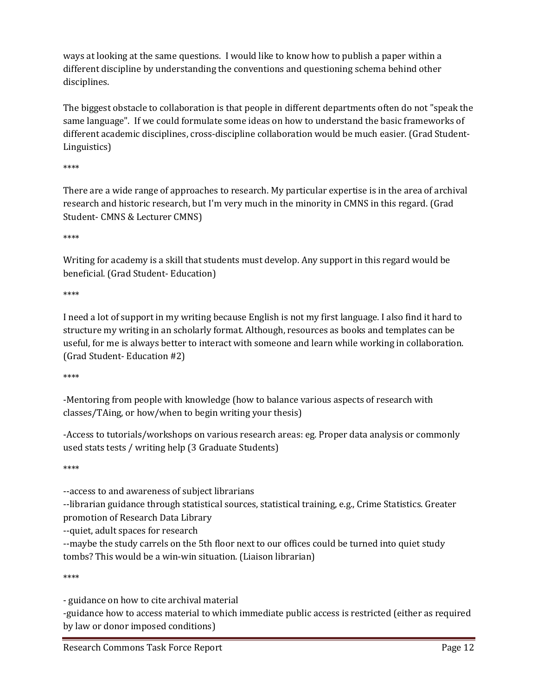ways at looking at the same questions. I would like to know how to publish a paper within a different discipline by understanding the conventions and questioning schema behind other disciplines.

The biggest obstacle to collaboration is that people in different departments often do not "speak the same language". If we could formulate some ideas on how to understand the basic frameworks of different academic disciplines, cross-discipline collaboration would be much easier. (Grad Student-Linguistics)

\*\*\*\*

There are a wide range of approaches to research. My particular expertise is in the area of archival research and historic research, but I'm very much in the minority in CMNS in this regard. (Grad Student- CMNS & Lecturer CMNS)

\*\*\*\*

Writing for academy is a skill that students must develop. Any support in this regard would be beneficial. (Grad Student- Education)

\*\*\*\*

I need a lot of support in my writing because English is not my first language. I also find it hard to structure my writing in an scholarly format. Although, resources as books and templates can be useful, for me is always better to interact with someone and learn while working in collaboration. (Grad Student- Education #2)

\*\*\*\*

-Mentoring from people with knowledge (how to balance various aspects of research with classes/TAing, or how/when to begin writing your thesis)

-Access to tutorials/workshops on various research areas: eg. Proper data analysis or commonly used stats tests / writing help (3 Graduate Students)

\*\*\*\*

--access to and awareness of subject librarians

--librarian guidance through statistical sources, statistical training, e.g., Crime Statistics. Greater promotion of Research Data Library

--quiet, adult spaces for research

--maybe the study carrels on the 5th floor next to our offices could be turned into quiet study tombs? This would be a win-win situation. (Liaison librarian)

\*\*\*\*

- guidance on how to cite archival material

-guidance how to access material to which immediate public access is restricted (either as required by law or donor imposed conditions)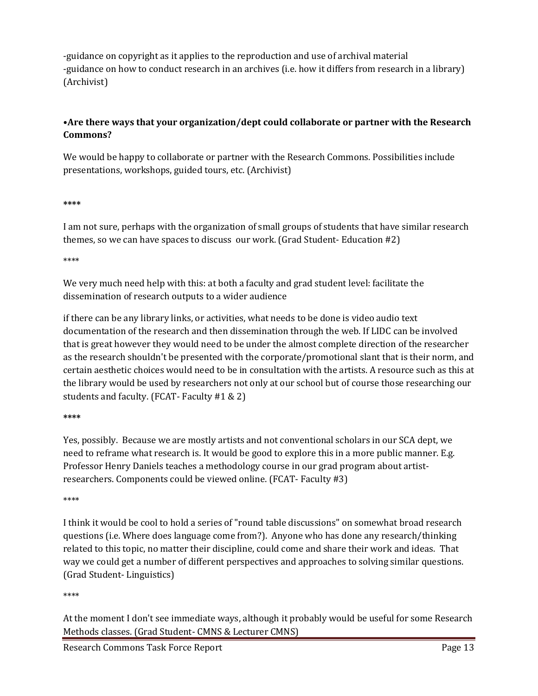-guidance on copyright as it applies to the reproduction and use of archival material -guidance on how to conduct research in an archives (i.e. how it differs from research in a library) (Archivist)

# •**Are there ways that your organization/dept could collaborate or partner with the Research Commons?**

We would be happy to collaborate or partner with the Research Commons. Possibilities include presentations, workshops, guided tours, etc. (Archivist)

### **\*\*\*\***

I am not sure, perhaps with the organization of small groups of students that have similar research themes, so we can have spaces to discuss our work. (Grad Student- Education #2)

## \*\*\*\*

We very much need help with this: at both a faculty and grad student level: facilitate the dissemination of research outputs to a wider audience

if there can be any library links, or activities, what needs to be done is video audio text documentation of the research and then dissemination through the web. If LIDC can be involved that is great however they would need to be under the almost complete direction of the researcher as the research shouldn't be presented with the corporate/promotional slant that is their norm, and certain aesthetic choices would need to be in consultation with the artists. A resource such as this at the library would be used by researchers not only at our school but of course those researching our students and faculty. (FCAT- Faculty #1 & 2)

## **\*\*\*\***

Yes, possibly. Because we are mostly artists and not conventional scholars in our SCA dept, we need to reframe what research is. It would be good to explore this in a more public manner. E.g. Professor Henry Daniels teaches a methodology course in our grad program about artistresearchers. Components could be viewed online. (FCAT- Faculty #3)

#### \*\*\*\*

I think it would be cool to hold a series of "round table discussions" on somewhat broad research questions (i.e. Where does language come from?). Anyone who has done any research/thinking related to this topic, no matter their discipline, could come and share their work and ideas. That way we could get a number of different perspectives and approaches to solving similar questions. (Grad Student- Linguistics)

## \*\*\*\*

At the moment I don't see immediate ways, although it probably would be useful for some Research Methods classes. (Grad Student- CMNS & Lecturer CMNS)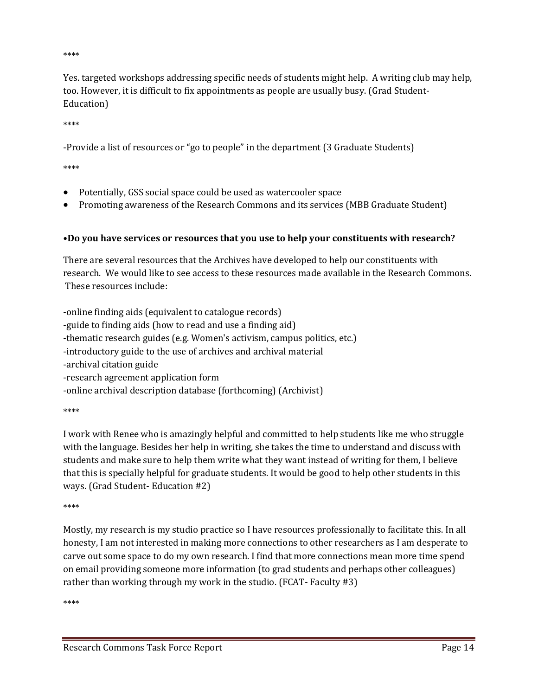\*\*\*\*

Yes. targeted workshops addressing specific needs of students might help. A writing club may help, too. However, it is difficult to fix appointments as people are usually busy. (Grad Student-Education)

\*\*\*\*

-Provide a list of resources or "go to people" in the department (3 Graduate Students)

\*\*\*\*

- Potentially, GSS social space could be used as watercooler space
- Promoting awareness of the Research Commons and its services (MBB Graduate Student)

## •**Do you have services or resources that you use to help your constituents with research?**

There are several resources that the Archives have developed to help our constituents with research. We would like to see access to these resources made available in the Research Commons. These resources include:

-online finding aids (equivalent to catalogue records) -guide to finding aids (how to read and use a finding aid) -thematic research guides (e.g. Women's activism, campus politics, etc.) -introductory guide to the use of archives and archival material -archival citation guide -research agreement application form -online archival description database (forthcoming) (Archivist) \*\*\*\*

I work with Renee who is amazingly helpful and committed to help students like me who struggle with the language. Besides her help in writing, she takes the time to understand and discuss with students and make sure to help them write what they want instead of writing for them, I believe that this is specially helpful for graduate students. It would be good to help other students in this ways. (Grad Student- Education #2)

\*\*\*\*

Mostly, my research is my studio practice so I have resources professionally to facilitate this. In all honesty, I am not interested in making more connections to other researchers as I am desperate to carve out some space to do my own research. I find that more connections mean more time spend on email providing someone more information (to grad students and perhaps other colleagues) rather than working through my work in the studio. (FCAT- Faculty #3)

\*\*\*\*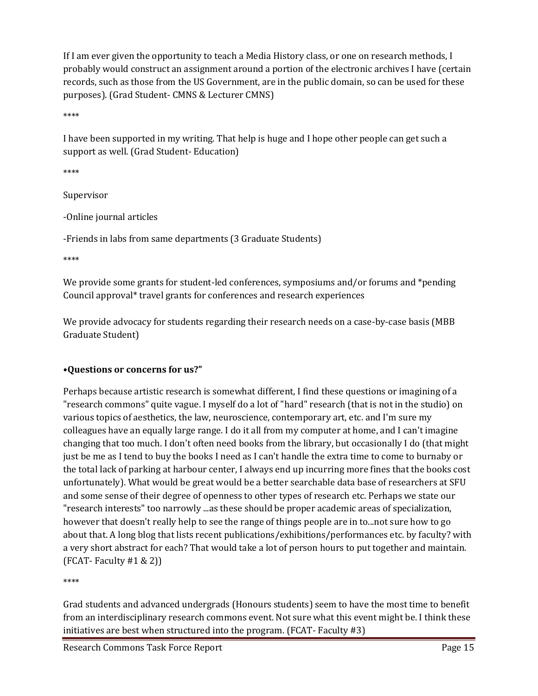If I am ever given the opportunity to teach a Media History class, or one on research methods, I probably would construct an assignment around a portion of the electronic archives I have (certain records, such as those from the US Government, are in the public domain, so can be used for these purposes). (Grad Student- CMNS & Lecturer CMNS)

\*\*\*\*

I have been supported in my writing. That help is huge and I hope other people can get such a support as well. (Grad Student- Education)

\*\*\*\*

Supervisor

-Online journal articles

-Friends in labs from same departments (3 Graduate Students)

\*\*\*\*

We provide some grants for student-led conferences, symposiums and/or forums and \*pending Council approval\* travel grants for conferences and research experiences

We provide advocacy for students regarding their research needs on a case-by-case basis (MBB) Graduate Student)

## •**Questions or concerns for us?"**

Perhaps because artistic research is somewhat different, I find these questions or imagining of a "research commons" quite vague. I myself do a lot of "hard" research (that is not in the studio) on various topics of aesthetics, the law, neuroscience, contemporary art, etc. and I'm sure my colleagues have an equally large range. I do it all from my computer at home, and I can't imagine changing that too much. I don't often need books from the library, but occasionally I do (that might just be me as I tend to buy the books I need as I can't handle the extra time to come to burnaby or the total lack of parking at harbour center, I always end up incurring more fines that the books cost unfortunately). What would be great would be a better searchable data base of researchers at SFU and some sense of their degree of openness to other types of research etc. Perhaps we state our "research interests" too narrowly ...as these should be proper academic areas of specialization, however that doesn't really help to see the range of things people are in to...not sure how to go about that. A long blog that lists recent publications/exhibitions/performances etc. by faculty? with a very short abstract for each? That would take a lot of person hours to put together and maintain.  $(FCAT - Faculty #1 & 2))$ 

\*\*\*\*

Grad students and advanced undergrads (Honours students) seem to have the most time to benefit from an interdisciplinary research commons event. Not sure what this event might be. I think these initiatives are best when structured into the program. (FCAT- Faculty #3)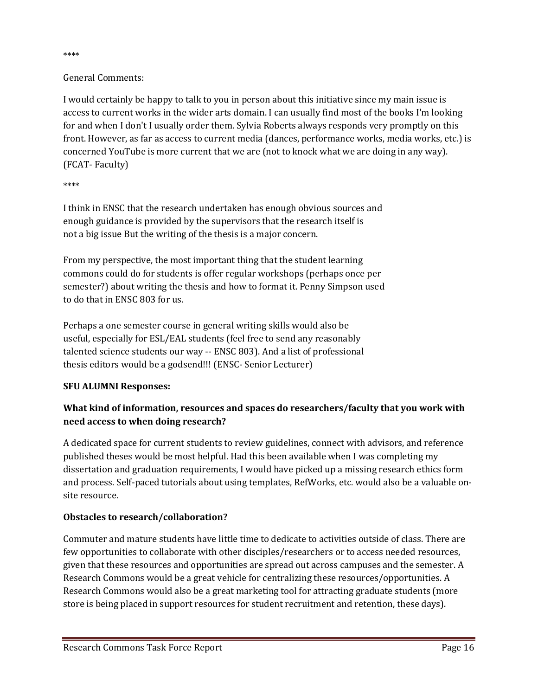#### \*\*\*\*

## General Comments:

I would certainly be happy to talk to you in person about this initiative since my main issue is access to current works in the wider arts domain. I can usually find most of the books I'm looking for and when I don't I usually order them. Sylvia Roberts always responds very promptly on this front. However, as far as access to current media (dances, performance works, media works, etc.) is concerned YouTube is more current that we are (not to knock what we are doing in any way). (FCAT- Faculty)

#### \*\*\*\*

I think in ENSC that the research undertaken has enough obvious sources and enough guidance is provided by the supervisors that the research itself is not a big issue But the writing of the thesis is a major concern.

From my perspective, the most important thing that the student learning commons could do for students is offer regular workshops (perhaps once per semester?) about writing the thesis and how to format it. Penny Simpson used to do that in ENSC 803 for us.

Perhaps a one semester course in general writing skills would also be useful, especially for ESL/EAL students (feel free to send any reasonably talented science students our way -- ENSC 803). And a list of professional thesis editors would be a godsend!!! (ENSC- Senior Lecturer)

## **SFU ALUMNI Responses:**

# **What kind of information, resources and spaces do researchers/faculty that you work with need access to when doing research?**

A dedicated space for current students to review guidelines, connect with advisors, and reference published theses would be most helpful. Had this been available when I was completing my dissertation and graduation requirements, I would have picked up a missing research ethics form and process. Self-paced tutorials about using templates, RefWorks, etc. would also be a valuable onsite resource.

## **Obstacles to research/collaboration?**

Commuter and mature students have little time to dedicate to activities outside of class. There are few opportunities to collaborate with other disciples/researchers or to access needed resources, given that these resources and opportunities are spread out across campuses and the semester. A Research Commons would be a great vehicle for centralizing these resources/opportunities. A Research Commons would also be a great marketing tool for attracting graduate students (more store is being placed in support resources for student recruitment and retention, these days).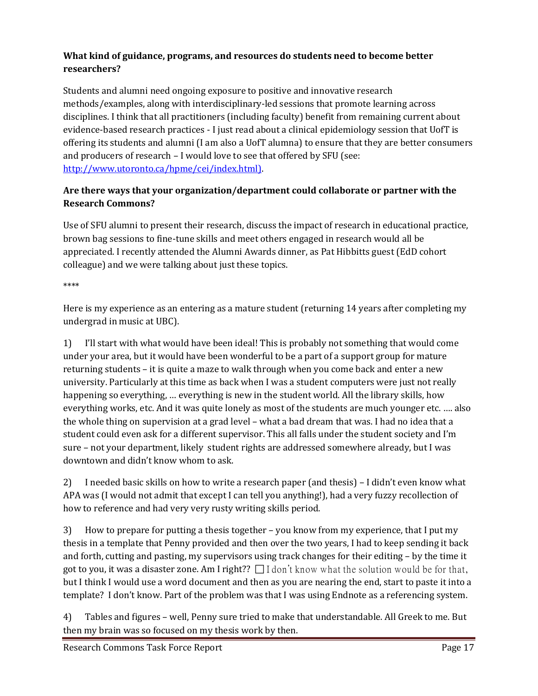# **What kind of guidance, programs, and resources do students need to become better researchers?**

Students and alumni need ongoing exposure to positive and innovative research methods/examples, along with interdisciplinary-led sessions that promote learning across disciplines. I think that all practitioners (including faculty) benefit from remaining current about evidence-based research practices - I just read about a clinical epidemiology session that UofT is offering its students and alumni (I am also a UofT alumna) to ensure that they are better consumers and producers of research – I would love to see that offered by SFU (see: [http://www.utoronto.ca/hpme/cei/index.html\)](http://www.utoronto.ca/hpme/cei/index.html%29).

# **Are there ways that your organization/department could collaborate or partner with the Research Commons?**

Use of SFU alumni to present their research, discuss the impact of research in educational practice, brown bag sessions to fine-tune skills and meet others engaged in research would all be appreciated. I recently attended the Alumni Awards dinner, as Pat Hibbitts guest (EdD cohort colleague) and we were talking about just these topics.

\*\*\*\*

Here is my experience as an entering as a mature student (returning 14 years after completing my undergrad in music at UBC).

1) I'll start with what would have been ideal! This is probably not something that would come under your area, but it would have been wonderful to be a part of a support group for mature returning students – it is quite a maze to walk through when you come back and enter a new university. Particularly at this time as back when I was a student computers were just not really happening so everything, … everything is new in the student world. All the library skills, how everything works, etc. And it was quite lonely as most of the students are much younger etc. …. also the whole thing on supervision at a grad level – what a bad dream that was. I had no idea that a student could even ask for a different supervisor. This all falls under the student society and I'm sure – not your department, likely student rights are addressed somewhere already, but I was downtown and didn't know whom to ask.

2) I needed basic skills on how to write a research paper (and thesis) – I didn't even know what APA was (I would not admit that except I can tell you anything!), had a very fuzzy recollection of how to reference and had very very rusty writing skills period.

3) How to prepare for putting a thesis together – you know from my experience, that I put my thesis in a template that Penny provided and then over the two years, I had to keep sending it back and forth, cutting and pasting, my supervisors using track changes for their editing – by the time it got to you, it was a disaster zone. Am I right??  $\Box$  I don't know what the solution would be for that, but I think I would use a word document and then as you are nearing the end, start to paste it into a template? I don't know. Part of the problem was that I was using Endnote as a referencing system.

4) Tables and figures – well, Penny sure tried to make that understandable. All Greek to me. But then my brain was so focused on my thesis work by then.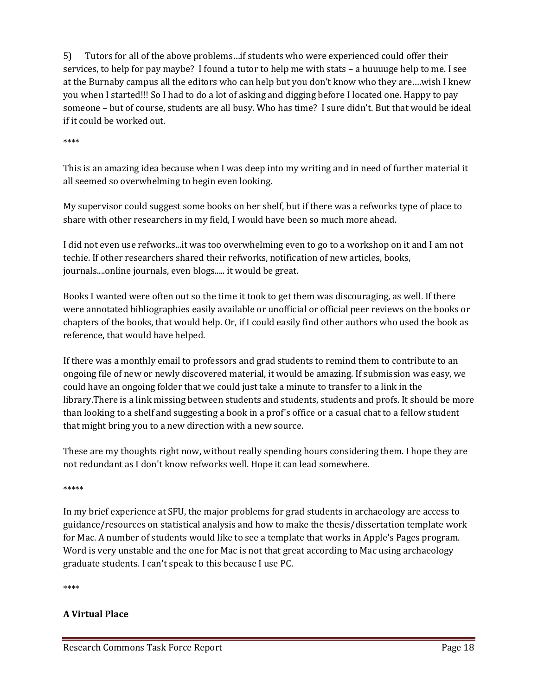5) Tutors for all of the above problems…if students who were experienced could offer their services, to help for pay maybe? I found a tutor to help me with stats – a huuuuge help to me. I see at the Burnaby campus all the editors who can help but you don't know who they are….wish I knew you when I started!!! So I had to do a lot of asking and digging before I located one. Happy to pay someone – but of course, students are all busy. Who has time? I sure didn't. But that would be ideal if it could be worked out.

\*\*\*\*

This is an amazing idea because when I was deep into my writing and in need of further material it all seemed so overwhelming to begin even looking.

My supervisor could suggest some books on her shelf, but if there was a refworks type of place to share with other researchers in my field, I would have been so much more ahead.

I did not even use refworks...it was too overwhelming even to go to a workshop on it and I am not techie. If other researchers shared their refworks, notification of new articles, books, journals....online journals, even blogs..... it would be great.

Books I wanted were often out so the time it took to get them was discouraging, as well. If there were annotated bibliographies easily available or unofficial or official peer reviews on the books or chapters of the books, that would help. Or, if I could easily find other authors who used the book as reference, that would have helped.

If there was a monthly email to professors and grad students to remind them to contribute to an ongoing file of new or newly discovered material, it would be amazing. If submission was easy, we could have an ongoing folder that we could just take a minute to transfer to a link in the library.There is a link missing between students and students, students and profs. It should be more than looking to a shelf and suggesting a book in a prof's office or a casual chat to a fellow student that might bring you to a new direction with a new source.

These are my thoughts right now, without really spending hours considering them. I hope they are not redundant as I don't know refworks well. Hope it can lead somewhere.

\*\*\*\*\*

In my brief experience at SFU, the major problems for grad students in archaeology are access to guidance/resources on statistical analysis and how to make the thesis/dissertation template work for Mac. A number of students would like to see a template that works in Apple's Pages program. Word is very unstable and the one for Mac is not that great according to Mac using archaeology graduate students. I can't speak to this because I use PC.

\*\*\*\*

## **A Virtual Place**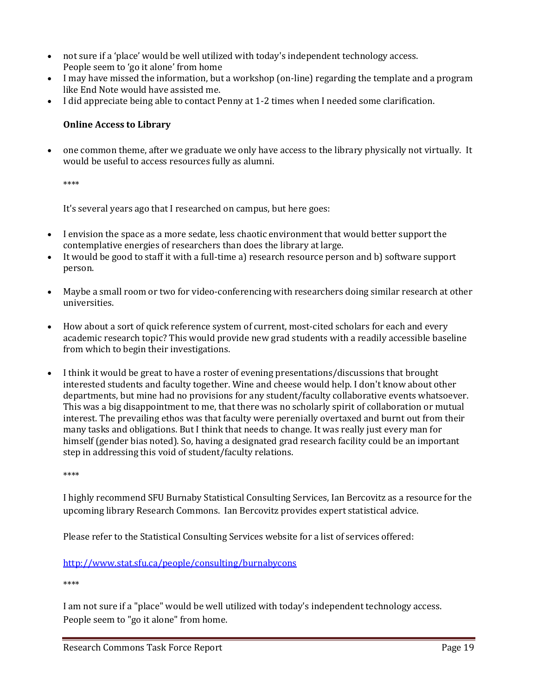- not sure if a 'place' would be well utilized with today's independent technology access. People seem to 'go it alone' from home
- I may have missed the information, but a workshop (on-line) regarding the template and a program like End Note would have assisted me.
- I did appreciate being able to contact Penny at 1-2 times when I needed some clarification.

## **Online Access to Library**

• one common theme, after we graduate we only have access to the library physically not virtually. It would be useful to access resources fully as alumni.

\*\*\*\*

It's several years ago that I researched on campus, but here goes:

- I envision the space as a more sedate, less chaotic environment that would better support the contemplative energies of researchers than does the library at large.
- It would be good to staff it with a full-time a) research resource person and b) software support person.
- Maybe a small room or two for video-conferencing with researchers doing similar research at other universities.
- How about a sort of quick reference system of current, most-cited scholars for each and every academic research topic? This would provide new grad students with a readily accessible baseline from which to begin their investigations.
- I think it would be great to have a roster of evening presentations/discussions that brought interested students and faculty together. Wine and cheese would help. I don't know about other departments, but mine had no provisions for any student/faculty collaborative events whatsoever. This was a big disappointment to me, that there was no scholarly spirit of collaboration or mutual interest. The prevailing ethos was that faculty were perenially overtaxed and burnt out from their many tasks and obligations. But I think that needs to change. It was really just every man for himself (gender bias noted). So, having a designated grad research facility could be an important step in addressing this void of student/faculty relations.

\*\*\*\*

I highly recommend SFU Burnaby Statistical Consulting Services, Ian Bercovitz as a resource for the upcoming library Research Commons. Ian Bercovitz provides expert statistical advice.

Please refer to the Statistical Consulting Services website for a list of services offered:

<http://www.stat.sfu.ca/people/consulting/burnabycons>

\*\*\*\*

I am not sure if a "place" would be well utilized with today's independent technology access. People seem to "go it alone" from home.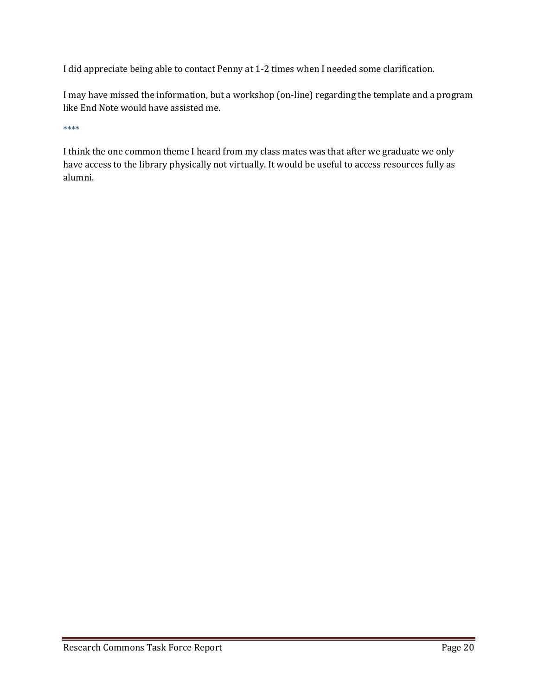I did appreciate being able to contact Penny at 1-2 times when I needed some clarification.

I may have missed the information, but a workshop (on-line) regarding the template and a program like End Note would have assisted me.

\*\*\*\*

I think the one common theme I heard from my class mates was that after we graduate we only have access to the library physically not virtually. It would be useful to access resources fully as alumni.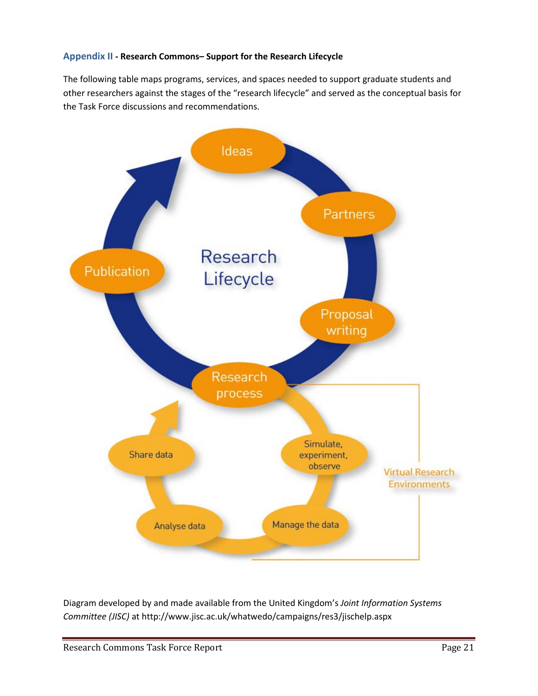## <span id="page-20-0"></span>**Appendix II - Research Commons– Support for the Research Lifecycle**

The following table maps programs, services, and spaces needed to support graduate students and other researchers against the stages of the "research lifecycle" and served as the conceptual basis for the Task Force discussions and recommendations.



Diagram developed by and made available from the United Kingdom's *Joint Information Systems Committee (JISC)* at http://www.jisc.ac.uk/whatwedo/campaigns/res3/jischelp.aspx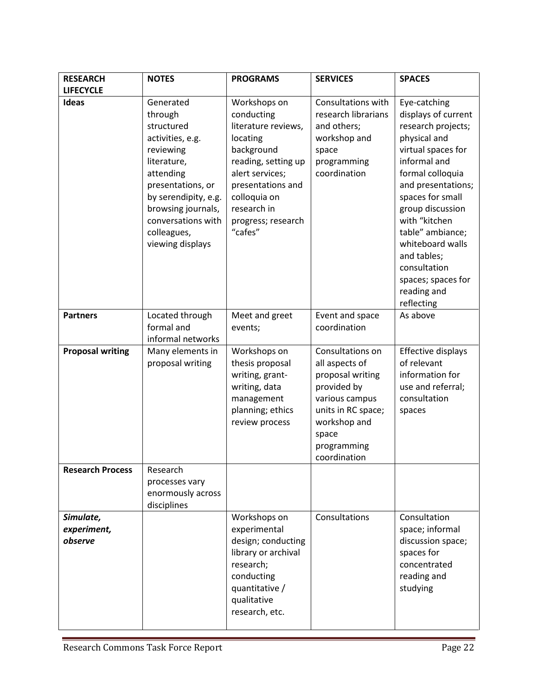| <b>RESEARCH</b>                     | <b>NOTES</b>                                                                                                                                                                                                                | <b>PROGRAMS</b>                                                                                                                                                                                            | <b>SERVICES</b>                                                                                                                                                       | <b>SPACES</b>                                                                                                                                                                                                                                                                                                                                |
|-------------------------------------|-----------------------------------------------------------------------------------------------------------------------------------------------------------------------------------------------------------------------------|------------------------------------------------------------------------------------------------------------------------------------------------------------------------------------------------------------|-----------------------------------------------------------------------------------------------------------------------------------------------------------------------|----------------------------------------------------------------------------------------------------------------------------------------------------------------------------------------------------------------------------------------------------------------------------------------------------------------------------------------------|
| <b>LIFECYCLE</b>                    |                                                                                                                                                                                                                             |                                                                                                                                                                                                            |                                                                                                                                                                       |                                                                                                                                                                                                                                                                                                                                              |
| Ideas                               | Generated<br>through<br>structured<br>activities, e.g.<br>reviewing<br>literature,<br>attending<br>presentations, or<br>by serendipity, e.g.<br>browsing journals,<br>conversations with<br>colleagues,<br>viewing displays | Workshops on<br>conducting<br>literature reviews,<br>locating<br>background<br>reading, setting up<br>alert services;<br>presentations and<br>colloquia on<br>research in<br>progress; research<br>"cafes" | Consultations with<br>research librarians<br>and others;<br>workshop and<br>space<br>programming<br>coordination                                                      | Eye-catching<br>displays of current<br>research projects;<br>physical and<br>virtual spaces for<br>informal and<br>formal colloquia<br>and presentations;<br>spaces for small<br>group discussion<br>with "kitchen<br>table" ambiance;<br>whiteboard walls<br>and tables;<br>consultation<br>spaces; spaces for<br>reading and<br>reflecting |
| <b>Partners</b>                     | Located through<br>formal and<br>informal networks                                                                                                                                                                          | Meet and greet<br>events;                                                                                                                                                                                  | Event and space<br>coordination                                                                                                                                       | As above                                                                                                                                                                                                                                                                                                                                     |
| <b>Proposal writing</b>             | Many elements in<br>proposal writing                                                                                                                                                                                        | Workshops on<br>thesis proposal<br>writing, grant-<br>writing, data<br>management<br>planning; ethics<br>review process                                                                                    | Consultations on<br>all aspects of<br>proposal writing<br>provided by<br>various campus<br>units in RC space;<br>workshop and<br>space<br>programming<br>coordination | Effective displays<br>of relevant<br>information for<br>use and referral;<br>consultation<br>spaces                                                                                                                                                                                                                                          |
| <b>Research Process</b>             | Research<br>processes vary<br>enormously across<br>disciplines                                                                                                                                                              |                                                                                                                                                                                                            |                                                                                                                                                                       |                                                                                                                                                                                                                                                                                                                                              |
| Simulate,<br>experiment,<br>observe |                                                                                                                                                                                                                             | Workshops on<br>experimental<br>design; conducting<br>library or archival<br>research;<br>conducting<br>quantitative /<br>qualitative<br>research, etc.                                                    | Consultations                                                                                                                                                         | Consultation<br>space; informal<br>discussion space;<br>spaces for<br>concentrated<br>reading and<br>studying                                                                                                                                                                                                                                |